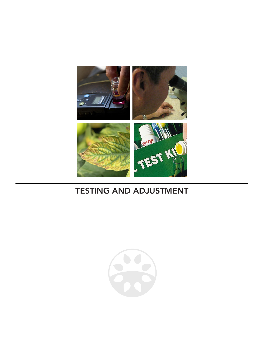

# TESTING AND ADJUSTMENT

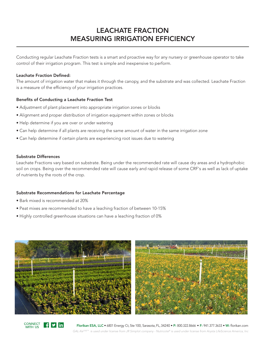## LEACHATE FRACTION MEASURING IRRIGATION EFFICIENCY

Conducting regular Leachate Fraction tests is a smart and proactive way for any nursery or greenhouse operator to take control of their irrigation program. This test is simple and inexpensive to perform.

### Leachate Fraction Defined:

The amount of irrigation water that makes it through the canopy, and the substrate and was collected. Leachate Fraction is a measure of the efficiency of your irrigation practices.

### Benefits of Conducting a Leachate Fraction Test

- Adjustment of plant placement into appropriate irrigation zones or blocks
- Alignment and proper distribution of irrigation equipment within zones or blocks
- Help determine if you are over or under watering
- Can help determine if all plants are receiving the same amount of water in the same irrigation zone
- Can help determine if certain plants are experiencing root issues due to watering

#### Substrate Differences

Leachate Fractions vary based on substrate. Being under the recommended rate will cause dry areas and a hydrophobic soil on crops. Being over the recommended rate will cause early and rapid release of some CRF's as well as lack of uptake of nutrients by the roots of the crop.

#### Substrate Recommendations for Leachate Percentage

- Bark mixed is recommended at 20%
- Peat mixes are recommended to have a leaching fraction of between 10-15%
- Highly controlled greenhouse situations can have a leaching fraction of 0%